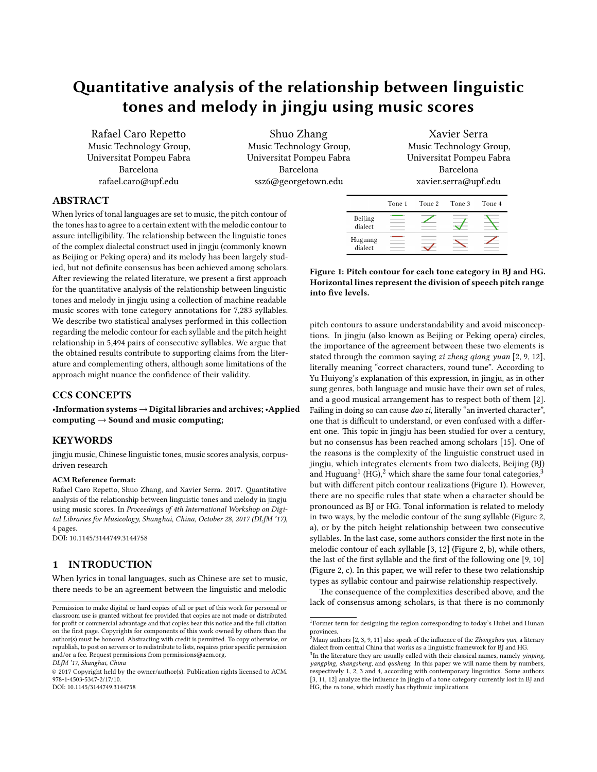# Quantitative analysis of the relationship between linguistic tones and melody in jingju using music scores

Rafael Caro Repetto Music Technology Group, Universitat Pompeu Fabra Barcelona rafael.caro@upf.edu

Shuo Zhang Music Technology Group, Universitat Pompeu Fabra Barcelona ssz6@georgetown.edu

Xavier Serra Music Technology Group, Universitat Pompeu Fabra Barcelona xavier.serra@upf.edu

# ABSTRACT

When lyrics of tonal languages are set to music, the pitch contour of the tones has to agree to a certain extent with the melodic contour to assure intelligibility. The relationship between the linguistic tones of the complex dialectal construct used in jingju (commonly known as Beijing or Peking opera) and its melody has been largely studied, but not definite consensus has been achieved among scholars. After reviewing the related literature, we present a first approach for the quantitative analysis of the relationship between linguistic tones and melody in jingju using a collection of machine readable music scores with tone category annotations for 7,283 syllables. We describe two statistical analyses performed in this collection regarding the melodic contour for each syllable and the pitch height relationship in 5,494 pairs of consecutive syllables. We argue that the obtained results contribute to supporting claims from the literature and complementing others, although some limitations of the approach might nuance the confidence of their validity.

# CCS CONCEPTS

•Information systems→Digital libraries and archives; •Applied computing  $\rightarrow$  Sound and music computing;

# **KEYWORDS**

jingju music, Chinese linguistic tones, music scores analysis, corpusdriven research

#### ACM Reference format:

Rafael Caro Repetto, Shuo Zhang, and Xavier Serra. 2017. Quantitative analysis of the relationship between linguistic tones and melody in jingju using music scores. In Proceedings of 4th International Workshop on Digital Libraries for Musicology, Shanghai, China, October 28, 2017 (DLfM '17), [4](#page-3-0) pages.

DOI: 10.1145/3144749.3144758

## 1 INTRODUCTION

When lyrics in tonal languages, such as Chinese are set to music, there needs to be an agreement between the linguistic and melodic

DOI: 10.1145/3144749.3144758

<span id="page-0-3"></span>

|                    |        |        | xavier.serra@upi.edu |        |  |  |  |  |  |
|--------------------|--------|--------|----------------------|--------|--|--|--|--|--|
|                    | Tone 1 | Tone 2 | Tone 3               | Tone 4 |  |  |  |  |  |
| Beijing<br>dialect |        |        |                      |        |  |  |  |  |  |
| Huguang<br>dialect |        |        |                      |        |  |  |  |  |  |

Figure 1: Pitch contour for each tone category in BJ and HG. Horizontal lines represent the division of speech pitch range into five levels.

pitch contours to assure understandability and avoid misconceptions. In jingju (also known as Beijing or Peking opera) circles, the importance of the agreement between these two elements is stated through the common saying zi zheng qiang yuan [\[2,](#page-3-1) [9,](#page-3-2) [12\]](#page-3-3), literally meaning "correct characters, round tune". According to Yu Huiyong's explanation of this expression, in jingju, as in other sung genres, both language and music have their own set of rules, and a good musical arrangement has to respect both of them [\[2\]](#page-3-1). Failing in doing so can cause dao zi, literally "an inverted character", one that is difficult to understand, or even confused with a different one. This topic in jingju has been studied for over a century, but no consensus has been reached among scholars [\[15\]](#page-3-4). One of the reasons is the complexity of the linguistic construct used in jingju, which integrates elements from two dialects, Beijing (BJ) and Huguang $^1$  $^1$  (HG), $^2$  $^2$  which share the same four tonal categories, $^3$  $^3$ but with different pitch contour realizations (Figure [1\)](#page-0-3). However, there are no specific rules that state when a character should be pronounced as BJ or HG. Tonal information is related to melody in two ways, by the melodic contour of the sung syllable (Figure [2,](#page-1-0) a), or by the pitch height relationship between two consecutive syllables. In the last case, some authors consider the first note in the melodic contour of each syllable [\[3,](#page-3-5) [12\]](#page-3-3) (Figure [2,](#page-1-0) b), while others, the last of the first syllable and the first of the following one  $[9, 10]$  $[9, 10]$  $[9, 10]$ (Figure [2,](#page-1-0) c). In this paper, we will refer to these two relationship types as syllabic contour and pairwise relationship respectively.

The consequence of the complexities described above, and the lack of consensus among scholars, is that there is no commonly

Permission to make digital or hard copies of all or part of this work for personal or classroom use is granted without fee provided that copies are not made or distributed for profit or commercial advantage and that copies bear this notice and the full citation on the first page. Copyrights for components of this work owned by others than the  $\,$ author(s) must be honored. Abstracting with credit is permitted. To copy otherwise, or republish, to post on servers or to redistribute to lists, requires prior specific permission and/or a fee. Request permissions from permissions@acm.org.

DLfM '17, Shanghai, China

<sup>©</sup> 2017 Copyright held by the owner/author(s). Publication rights licensed to ACM. 978-1-4503-5347-2/17/10.

<span id="page-0-0"></span><sup>&</sup>lt;sup>1</sup>Former term for designing the region corresponding to today's Hubei and Hunan provinces.

<span id="page-0-1"></span> $^2$ Many authors [\[2,](#page-3-1) [3,](#page-3-5) [9,](#page-3-2) [11\]](#page-3-7) also speak of the influence of the *Zhongzhou yun*, a literary dialect from central China that works as a linguistic framework for BJ and HG.

<span id="page-0-2"></span> $3$ In the literature they are usually called with their classical names, namely yinping, yangping, shangsheng, and qusheng. In this paper we will name them by numbers, respectively 1, 2, 3 and 4, according with contemporary linguistics. Some authors [\[3,](#page-3-5) [11,](#page-3-7) [12\]](#page-3-3) analyze the influence in jingju of a tone category currently lost in BJ and HG, the ru tone, which mostly has rhythmic implications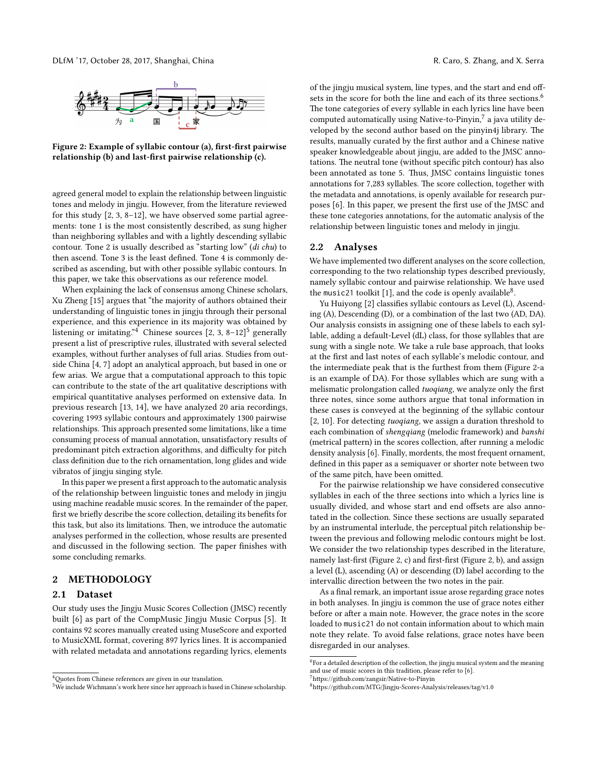<span id="page-1-0"></span>

Figure 2: Example of syllabic contour (a), first-first pairwise relationship (b) and last-first pairwise relationship (c).

agreed general model to explain the relationship between linguistic tones and melody in jingju. However, from the literature reviewed for this study [\[2,](#page-3-1) [3,](#page-3-5) [8–](#page-3-8)[12\]](#page-3-3), we have observed some partial agreements: tone 1 is the most consistently described, as sung higher than neighboring syllables and with a lightly descending syllabic contour. Tone 2 is usually described as "starting low" (di chu) to then ascend. Tone 3 is the least defined. Tone 4 is commonly described as ascending, but with other possible syllabic contours. In this paper, we take this observations as our reference model.

When explaining the lack of consensus among Chinese scholars, Xu Zheng [\[15\]](#page-3-4) argues that "the majority of authors obtained their understanding of linguistic tones in jingju through their personal experience, and this experience in its majority was obtained by listening or imitating."<sup>[4](#page-1-1)</sup> Chinese sources [\[2,](#page-3-1) [3,](#page-3-5) [8](#page-3-8)[–12\]](#page-3-3)<sup>[5](#page-1-2)</sup> generally present a list of prescriptive rules, illustrated with several selected examples, without further analyses of full arias. Studies from outside China [\[4,](#page-3-9) [7\]](#page-3-10) adopt an analytical approach, but based in one or few arias. We argue that a computational approach to this topic can contribute to the state of the art qualitative descriptions with empirical quantitative analyses performed on extensive data. In previous research [\[13,](#page-3-11) [14\]](#page-3-12), we have analyzed 20 aria recordings, covering 1993 syllabic contours and approximately 1300 pairwise relationships. This approach presented some limitations, like a time consuming process of manual annotation, unsatisfactory results of predominant pitch extraction algorithms, and difficulty for pitch class definition due to the rich ornamentation, long glides and wide vibratos of jingju singing style.

In this paper we present a first approach to the automatic analysis of the relationship between linguistic tones and melody in jingju using machine readable music scores. In the remainder of the paper, first we briefly describe the score collection, detailing its benefits for this task, but also its limitations. Then, we introduce the automatic analyses performed in the collection, whose results are presented and discussed in the following section. The paper finishes with some concluding remarks.

## 2 METHODOLOGY

#### 2.1 Dataset

Our study uses the Jingju Music Scores Collection (JMSC) recently built [\[6\]](#page-3-13) as part of the CompMusic Jingju Music Corpus [\[5\]](#page-3-14). It contains 92 scores manually created using MuseScore and exported to MusicXML format, covering 897 lyrics lines. It is accompanied with related metadata and annotations regarding lyrics, elements of the jingju musical system, line types, and the start and end off-sets in the score for both the line and each of its three sections.<sup>[6](#page-1-3)</sup> The tone categories of every syllable in each lyrics line have been computed automatically using Native-to-Pinyin,<sup>[7](#page-1-4)</sup> a java utility developed by the second author based on the pinyin4j library. The results, manually curated by the first author and a Chinese native speaker knowledgeable about jingju, are added to the JMSC annotations. The neutral tone (without specific pitch contour) has also been annotated as tone 5. Thus, JMSC contains linguistic tones annotations for 7,283 syllables. The score collection, together with the metadata and annotations, is openly available for research pur-poses [\[6\]](#page-3-13). In this paper, we present the first use of the JMSC and these tone categories annotations, for the automatic analysis of the relationship between linguistic tones and melody in jingju.

## 2.2 Analyses

We have implemented two different analyses on the score collection, corresponding to the two relationship types described previously, namely syllabic contour and pairwise relationship. We have used the music21 toolkit [\[1\]](#page-3-15), and the code is openly available<sup>[8](#page-1-5)</sup>.

Yu Huiyong [\[2\]](#page-3-1) classifies syllabic contours as Level (L), Ascending (A), Descending (D), or a combination of the last two (AD, DA). Our analysis consists in assigning one of these labels to each syllable, adding a default-Level (dL) class, for those syllables that are sung with a single note. We take a rule base approach, that looks at the first and last notes of each syllable's melodic contour, and the intermediate peak that is the furthest from them (Figure [2-](#page-1-0)a is an example of DA). For those syllables which are sung with a melismatic prolongation called tuoqiang, we analyze only the first three notes, since some authors argue that tonal information in these cases is conveyed at the beginning of the syllabic contour [\[2,](#page-3-1) [10\]](#page-3-6). For detecting tuoqiang, we assign a duration threshold to each combination of shengqiang (melodic framework) and banshi (metrical pattern) in the scores collection, after running a melodic density analysis [\[6\]](#page-3-13). Finally, mordents, the most frequent ornament, defined in this paper as a semiquaver or shorter note between two of the same pitch, have been omitted.

For the pairwise relationship we have considered consecutive syllables in each of the three sections into which a lyrics line is usually divided, and whose start and end offsets are also annotated in the collection. Since these sections are usually separated by an instrumental interlude, the perceptual pitch relationship between the previous and following melodic contours might be lost. We consider the two relationship types described in the literature, namely last-first (Figure [2,](#page-1-0) c) and first-first (Figure 2, b), and assign a level (L), ascending (A) or descending (D) label according to the intervallic direction between the two notes in the pair.

As a final remark, an important issue arose regarding grace notes in both analyses. In jingju is common the use of grace notes either before or after a main note. However, the grace notes in the score loaded to music21 do not contain information about to which main note they relate. To avoid false relations, grace notes have been disregarded in our analyses.

<span id="page-1-1"></span><sup>&</sup>lt;sup>4</sup>Quotes from Chinese references are given in our translation.

<span id="page-1-2"></span><sup>5</sup>We include Wichmann's work here since her approach is based in Chinese scholarship.

<span id="page-1-3"></span> $6$  For a detailed description of the collection, the jingju musical system and the meaning and use of music scores in this tradition, please refer to [\[6\]](#page-3-13).

<span id="page-1-4"></span><sup>&</sup>lt;sup>7</sup>https://github.com/zangsir/Native-to-Pinyin

<span id="page-1-5"></span> $8$ https://github.com/MTG/Jingju-Scores-Analysis/releases/tag/v1.0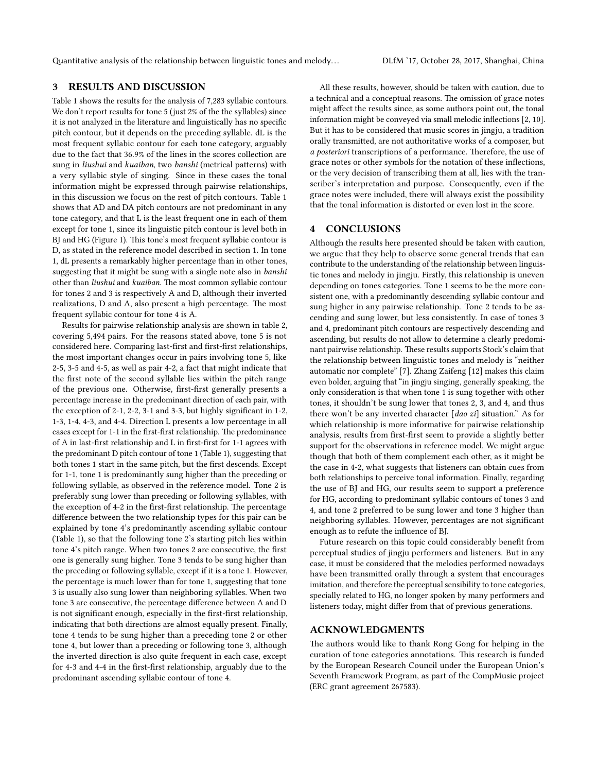Quantitative analysis of the relationship between linguistic tones and melody... DEFM '17, October 28, 2017, Shanghai, China

# 3 RESULTS AND DISCUSSION

Table [1](#page-3-16) shows the results for the analysis of 7,283 syllabic contours. We don't report results for tone 5 (just 2% of the the syllables) since it is not analyzed in the literature and linguistically has no specific pitch contour, but it depends on the preceding syllable. dL is the most frequent syllabic contour for each tone category, arguably due to the fact that 36.9% of the lines in the scores collection are sung in liushui and kuaiban, two banshi (metrical patterns) with a very syllabic style of singing. Since in these cases the tonal information might be expressed through pairwise relationships, in this discussion we focus on the rest of pitch contours. Table [1](#page-3-16) shows that AD and DA pitch contours are not predominant in any tone category, and that L is the least frequent one in each of them except for tone 1, since its linguistic pitch contour is level both in BJ and HG (Figure [1\)](#page-0-3). This tone's most frequent syllabic contour is D, as stated in the reference model described in section 1. In tone 1, dL presents a remarkably higher percentage than in other tones, suggesting that it might be sung with a single note also in banshi other than liushui and kuaiban. The most common syllabic contour for tones 2 and 3 is respectively A and D, although their inverted realizations, D and A, also present a high percentage. The most frequent syllabic contour for tone 4 is A.

Results for pairwise relationship analysis are shown in table [2,](#page-3-17) covering 5,494 pairs. For the reasons stated above, tone 5 is not considered here. Comparing last-first and first-first relationships, the most important changes occur in pairs involving tone 5, like 2-5, 3-5 and 4-5, as well as pair 4-2, a fact that might indicate that the first note of the second syllable lies within the pitch range of the previous one. Otherwise, first-first generally presents a percentage increase in the predominant direction of each pair, with the exception of 2-1, 2-2, 3-1 and 3-3, but highly signicant in 1-2, 1-3, 1-4, 4-3, and 4-4. Direction L presents a low percentage in all cases except for 1-1 in the first-first relationship. The predominance of A in last-first relationship and L in first-first for 1-1 agrees with the predominant D pitch contour of tone 1 (Table [1\)](#page-3-16), suggesting that both tones 1 start in the same pitch, but the first descends. Except for 1-1, tone 1 is predominantly sung higher than the preceding or following syllable, as observed in the reference model. Tone 2 is preferably sung lower than preceding or following syllables, with the exception of 4-2 in the first-first relationship. The percentage difference between the two relationship types for this pair can be explained by tone 4's predominantly ascending syllabic contour (Table [1\)](#page-3-16), so that the following tone 2's starting pitch lies within tone 4's pitch range. When two tones 2 are consecutive, the first one is generally sung higher. Tone 3 tends to be sung higher than the preceding or following syllable, except if it is a tone 1. However, the percentage is much lower than for tone 1, suggesting that tone 3 is usually also sung lower than neighboring syllables. When two tone 3 are consecutive, the percentage difference between A and D is not significant enough, especially in the first-first relationship, indicating that both directions are almost equally present. Finally, tone 4 tends to be sung higher than a preceding tone 2 or other tone 4, but lower than a preceding or following tone 3, although the inverted direction is also quite frequent in each case, except for 4-3 and 4-4 in the first-first relationship, arguably due to the predominant ascending syllabic contour of tone 4.

All these results, however, should be taken with caution, due to a technical and a conceptual reasons. The omission of grace notes might affect the results since, as some authors point out, the tonal information might be conveyed via small melodic inflections  $[2, 10]$  $[2, 10]$  $[2, 10]$ . But it has to be considered that music scores in jingju, a tradition orally transmitted, are not authoritative works of a composer, but a posteriori transcriptions of a performance. Therefore, the use of grace notes or other symbols for the notation of these inflections, or the very decision of transcribing them at all, lies with the transcriber's interpretation and purpose. Consequently, even if the grace notes were included, there will always exist the possibility that the tonal information is distorted or even lost in the score.

## 4 CONCLUSIONS

Although the results here presented should be taken with caution, we argue that they help to observe some general trends that can contribute to the understanding of the relationship between linguistic tones and melody in jingju. Firstly, this relationship is uneven depending on tones categories. Tone 1 seems to be the more consistent one, with a predominantly descending syllabic contour and sung higher in any pairwise relationship. Tone 2 tends to be ascending and sung lower, but less consistently. In case of tones 3 and 4, predominant pitch contours are respectively descending and ascending, but results do not allow to determine a clearly predominant pairwise relationship. These results supports Stock's claim that the relationship between linguistic tones and melody is "neither automatic nor complete" [\[7\]](#page-3-10). Zhang Zaifeng [\[12\]](#page-3-3) makes this claim even bolder, arguing that "in jingju singing, generally speaking, the only consideration is that when tone 1 is sung together with other tones, it shouldn't be sung lower that tones 2, 3, and 4, and thus there won't be any inverted character [dao zi] situation." As for which relationship is more informative for pairwise relationship analysis, results from first-first seem to provide a slightly better support for the observations in reference model. We might argue though that both of them complement each other, as it might be the case in 4-2, what suggests that listeners can obtain cues from both relationships to perceive tonal information. Finally, regarding the use of BJ and HG, our results seem to support a preference for HG, according to predominant syllabic contours of tones 3 and 4, and tone 2 preferred to be sung lower and tone 3 higher than neighboring syllables. However, percentages are not signicant enough as to refute the influence of BJ.

Future research on this topic could considerably benefit from perceptual studies of jingju performers and listeners. But in any case, it must be considered that the melodies performed nowadays have been transmitted orally through a system that encourages imitation, and therefore the perceptual sensibility to tone categories, specially related to HG, no longer spoken by many performers and listeners today, might differ from that of previous generations.

## ACKNOWLEDGMENTS

The authors would like to thank Rong Gong for helping in the curation of tone categories annotations. This research is funded by the European Research Council under the European Union's Seventh Framework Program, as part of the CompMusic project (ERC grant agreement 267583).